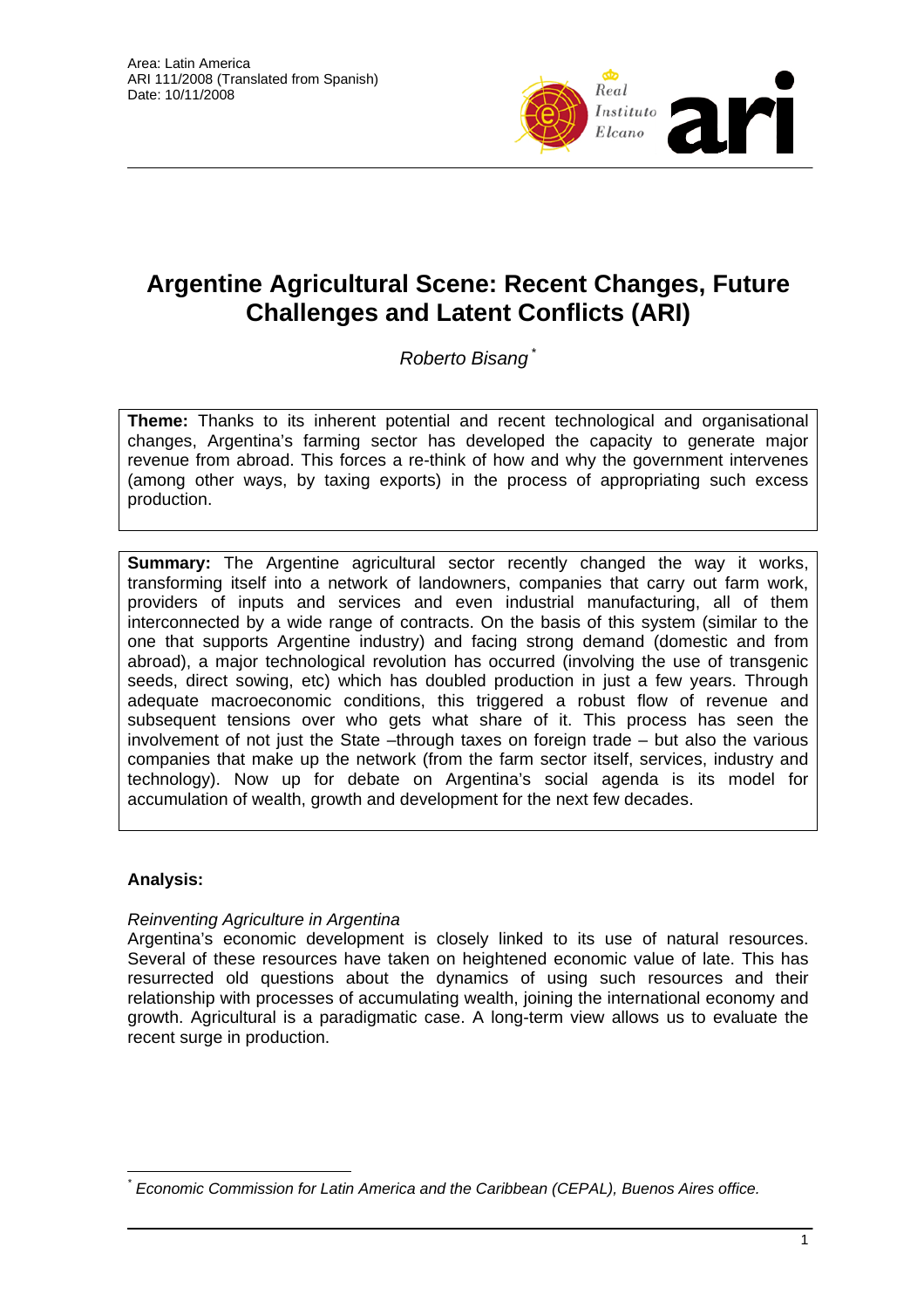

# **Argentine Agricultural Scene: Recent Changes, Future Challenges and Latent Conflicts (ARI)**

*Roberto Bisang* \*

**Theme:** Thanks to its inherent potential and recent technological and organisational changes, Argentina's farming sector has developed the capacity to generate major revenue from abroad. This forces a re-think of how and why the government intervenes (among other ways, by taxing exports) in the process of appropriating such excess production.

**Summary:** The Argentine agricultural sector recently changed the way it works, transforming itself into a network of landowners, companies that carry out farm work, providers of inputs and services and even industrial manufacturing, all of them interconnected by a wide range of contracts. On the basis of this system (similar to the one that supports Argentine industry) and facing strong demand (domestic and from abroad), a major technological revolution has occurred (involving the use of transgenic seeds, direct sowing, etc) which has doubled production in just a few years. Through adequate macroeconomic conditions, this triggered a robust flow of revenue and subsequent tensions over who gets what share of it. This process has seen the involvement of not just the State –through taxes on foreign trade – but also the various companies that make up the network (from the farm sector itself, services, industry and technology). Now up for debate on Argentina's social agenda is its model for accumulation of wealth, growth and development for the next few decades.

# **Analysis:**

# *Reinventing Agriculture in Argentina*

Argentina's economic development is closely linked to its use of natural resources. Several of these resources have taken on heightened economic value of late. This has resurrected old questions about the dynamics of using such resources and their relationship with processes of accumulating wealth, joining the international economy and growth. Agricultural is a paradigmatic case. A long-term view allows us to evaluate the recent surge in production.

 $\overline{a}$ *\* Economic Commission for Latin America and the Caribbean (CEPAL), Buenos Aires office.*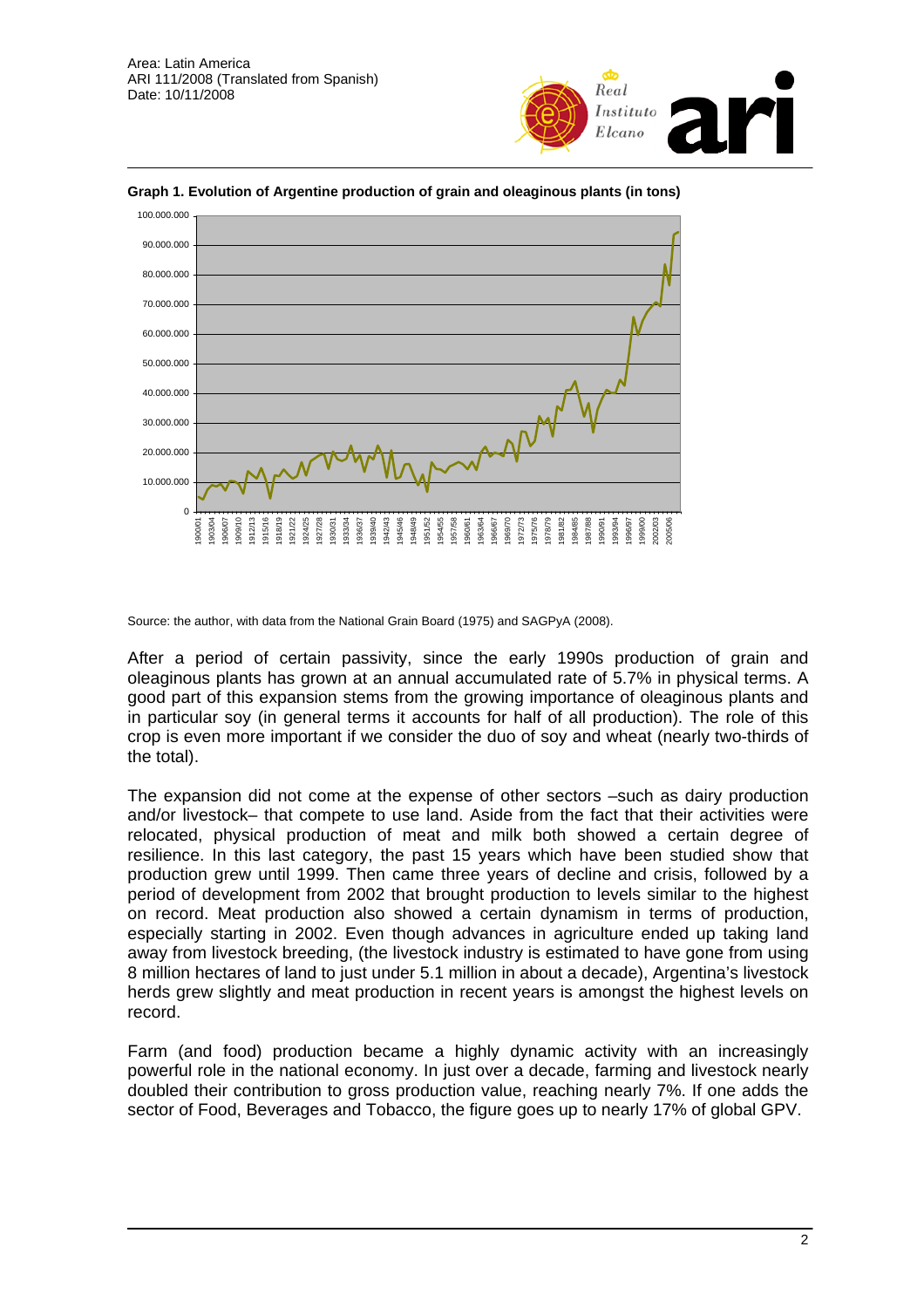



**Graph 1. Evolution of Argentine production of grain and oleaginous plants (in tons)** 

Source: the author, with data from the National Grain Board (1975) and SAGPyA (2008).

After a period of certain passivity, since the early 1990s production of grain and oleaginous plants has grown at an annual accumulated rate of 5.7% in physical terms. A good part of this expansion stems from the growing importance of oleaginous plants and in particular soy (in general terms it accounts for half of all production). The role of this crop is even more important if we consider the duo of soy and wheat (nearly two-thirds of the total).

The expansion did not come at the expense of other sectors –such as dairy production and/or livestock– that compete to use land. Aside from the fact that their activities were relocated, physical production of meat and milk both showed a certain degree of resilience. In this last category, the past 15 years which have been studied show that production grew until 1999. Then came three years of decline and crisis, followed by a period of development from 2002 that brought production to levels similar to the highest on record. Meat production also showed a certain dynamism in terms of production, especially starting in 2002. Even though advances in agriculture ended up taking land away from livestock breeding, (the livestock industry is estimated to have gone from using 8 million hectares of land to just under 5.1 million in about a decade), Argentina's livestock herds grew slightly and meat production in recent years is amongst the highest levels on record.

Farm (and food) production became a highly dynamic activity with an increasingly powerful role in the national economy. In just over a decade, farming and livestock nearly doubled their contribution to gross production value, reaching nearly 7%. If one adds the sector of Food, Beverages and Tobacco, the figure goes up to nearly 17% of global GPV.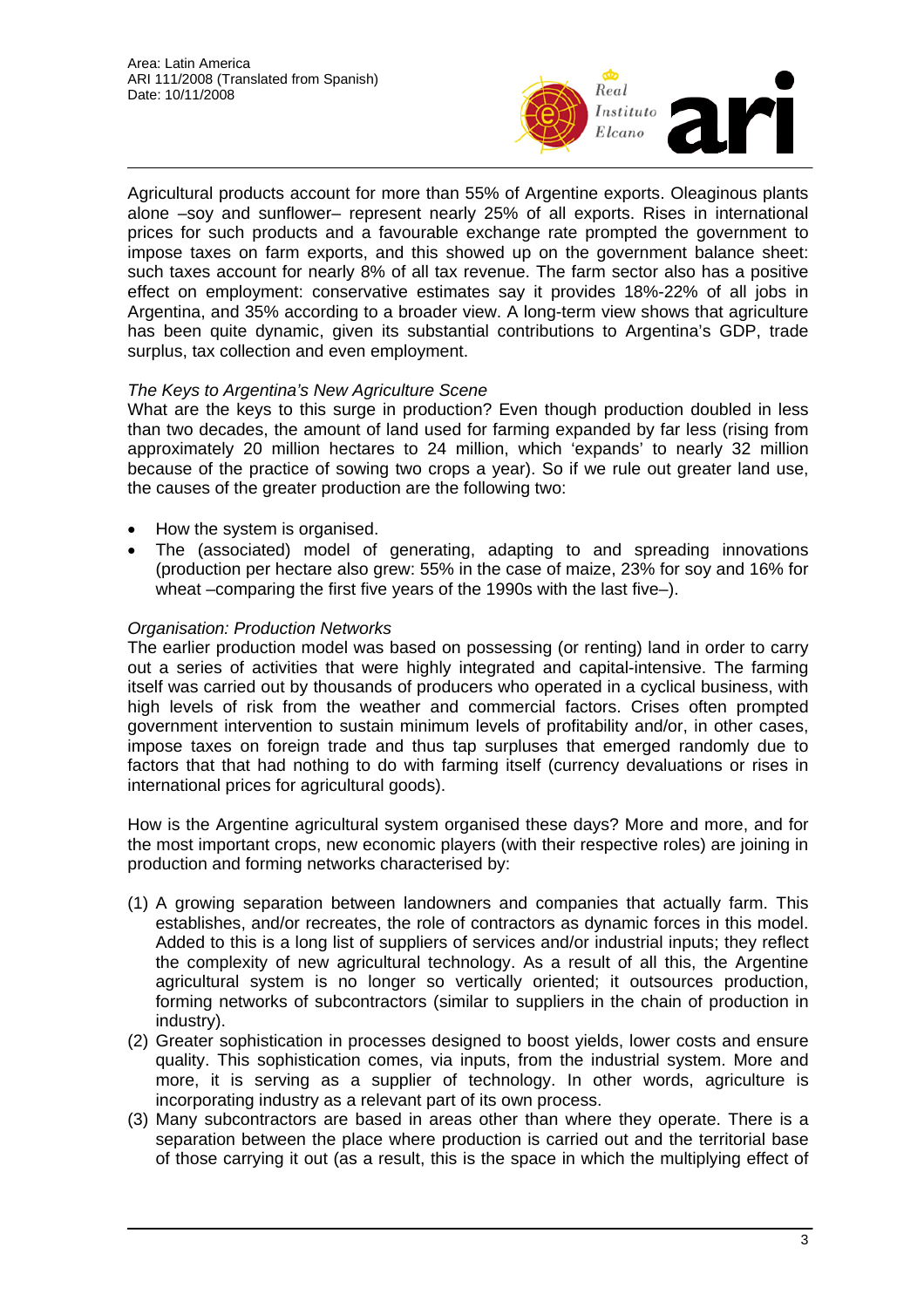

Agricultural products account for more than 55% of Argentine exports. Oleaginous plants alone –soy and sunflower– represent nearly 25% of all exports. Rises in international prices for such products and a favourable exchange rate prompted the government to impose taxes on farm exports, and this showed up on the government balance sheet: such taxes account for nearly 8% of all tax revenue. The farm sector also has a positive effect on employment: conservative estimates say it provides 18%-22% of all jobs in Argentina, and 35% according to a broader view. A long-term view shows that agriculture has been quite dynamic, given its substantial contributions to Argentina's GDP, trade surplus, tax collection and even employment.

## *The Keys to Argentina's New Agriculture Scene*

What are the keys to this surge in production? Even though production doubled in less than two decades, the amount of land used for farming expanded by far less (rising from approximately 20 million hectares to 24 million, which 'expands' to nearly 32 million because of the practice of sowing two crops a year). So if we rule out greater land use, the causes of the greater production are the following two:

- How the system is organised.
- The (associated) model of generating, adapting to and spreading innovations (production per hectare also grew: 55% in the case of maize, 23% for soy and 16% for wheat –comparing the first five years of the 1990s with the last five–).

## *Organisation: Production Networks*

The earlier production model was based on possessing (or renting) land in order to carry out a series of activities that were highly integrated and capital-intensive. The farming itself was carried out by thousands of producers who operated in a cyclical business, with high levels of risk from the weather and commercial factors. Crises often prompted government intervention to sustain minimum levels of profitability and/or, in other cases, impose taxes on foreign trade and thus tap surpluses that emerged randomly due to factors that that had nothing to do with farming itself (currency devaluations or rises in international prices for agricultural goods).

How is the Argentine agricultural system organised these days? More and more, and for the most important crops, new economic players (with their respective roles) are joining in production and forming networks characterised by:

- (1) A growing separation between landowners and companies that actually farm. This establishes, and/or recreates, the role of contractors as dynamic forces in this model. Added to this is a long list of suppliers of services and/or industrial inputs; they reflect the complexity of new agricultural technology. As a result of all this, the Argentine agricultural system is no longer so vertically oriented; it outsources production, forming networks of subcontractors (similar to suppliers in the chain of production in industry).
- (2) Greater sophistication in processes designed to boost yields, lower costs and ensure quality. This sophistication comes, via inputs, from the industrial system. More and more, it is serving as a supplier of technology. In other words, agriculture is incorporating industry as a relevant part of its own process.
- (3) Many subcontractors are based in areas other than where they operate. There is a separation between the place where production is carried out and the territorial base of those carrying it out (as a result, this is the space in which the multiplying effect of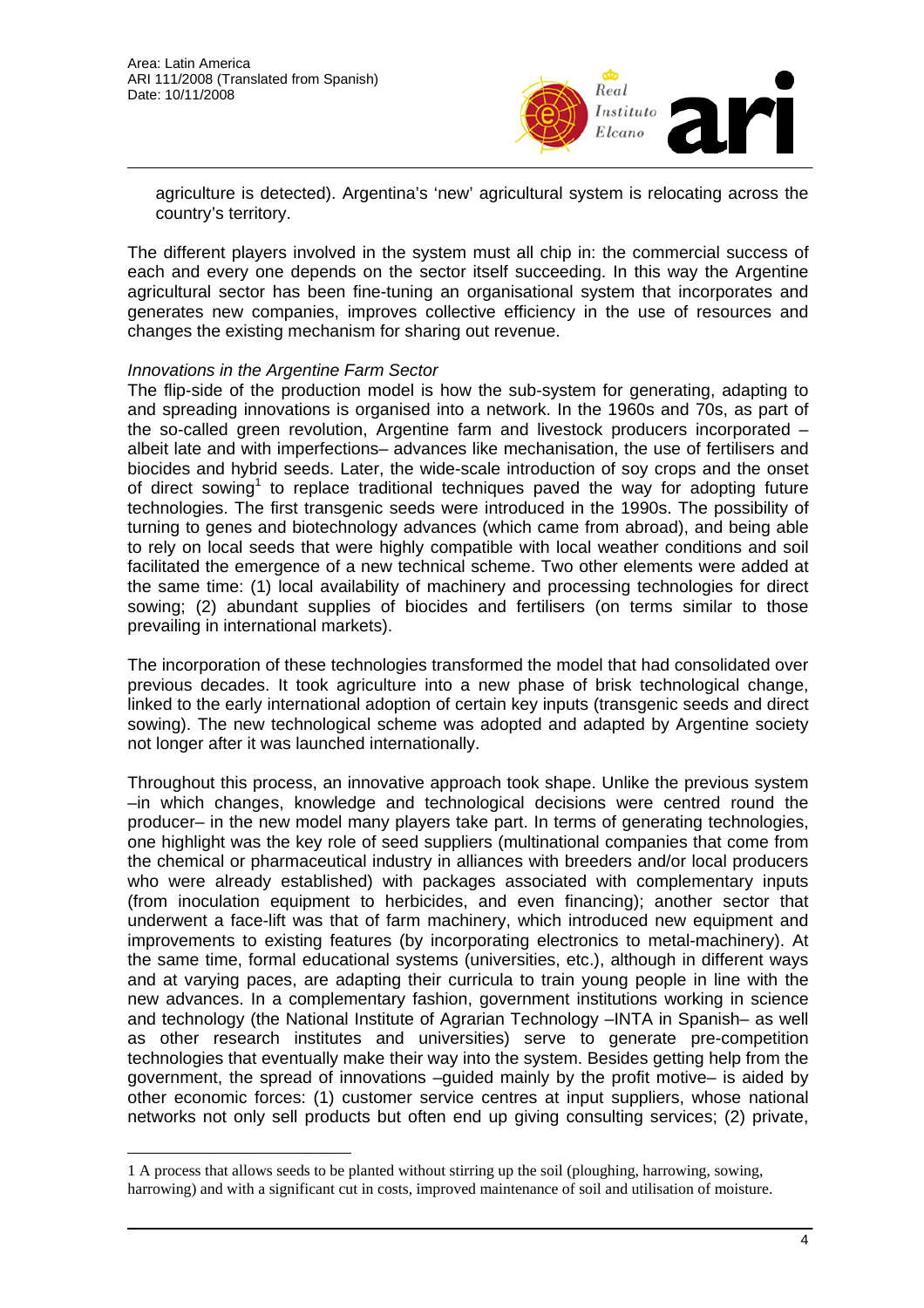

agriculture is detected). Argentina's 'new' agricultural system is relocating across the country's territory.

The different players involved in the system must all chip in: the commercial success of each and every one depends on the sector itself succeeding. In this way the Argentine agricultural sector has been fine-tuning an organisational system that incorporates and generates new companies, improves collective efficiency in the use of resources and changes the existing mechanism for sharing out revenue.

### *Innovations in the Argentine Farm Sector*

 $\overline{a}$ 

The flip-side of the production model is how the sub-system for generating, adapting to and spreading innovations is organised into a network. In the 1960s and 70s, as part of the so-called green revolution, Argentine farm and livestock producers incorporated – albeit late and with imperfections– advances like mechanisation, the use of fertilisers and biocides and hybrid seeds. Later, the wide-scale introduction of soy crops and the onset of direct sowing<sup>1</sup> to replace traditional techniques paved the way for adopting future technologies. The first transgenic seeds were introduced in the 1990s. The possibility of turning to genes and biotechnology advances (which came from abroad), and being able to rely on local seeds that were highly compatible with local weather conditions and soil facilitated the emergence of a new technical scheme. Two other elements were added at the same time: (1) local availability of machinery and processing technologies for direct sowing; (2) abundant supplies of biocides and fertilisers (on terms similar to those prevailing in international markets).

The incorporation of these technologies transformed the model that had consolidated over previous decades. It took agriculture into a new phase of brisk technological change, linked to the early international adoption of certain key inputs (transgenic seeds and direct sowing). The new technological scheme was adopted and adapted by Argentine society not longer after it was launched internationally.

Throughout this process, an innovative approach took shape. Unlike the previous system –in which changes, knowledge and technological decisions were centred round the producer– in the new model many players take part. In terms of generating technologies, one highlight was the key role of seed suppliers (multinational companies that come from the chemical or pharmaceutical industry in alliances with breeders and/or local producers who were already established) with packages associated with complementary inputs (from inoculation equipment to herbicides, and even financing); another sector that underwent a face-lift was that of farm machinery, which introduced new equipment and improvements to existing features (by incorporating electronics to metal-machinery). At the same time, formal educational systems (universities, etc.), although in different ways and at varying paces, are adapting their curricula to train young people in line with the new advances. In a complementary fashion, government institutions working in science and technology (the National Institute of Agrarian Technology –INTA in Spanish– as well as other research institutes and universities) serve to generate pre-competition technologies that eventually make their way into the system. Besides getting help from the government, the spread of innovations –guided mainly by the profit motive– is aided by other economic forces: (1) customer service centres at input suppliers, whose national networks not only sell products but often end up giving consulting services; (2) private,

<sup>1</sup> A process that allows seeds to be planted without stirring up the soil (ploughing, harrowing, sowing, harrowing) and with a significant cut in costs, improved maintenance of soil and utilisation of moisture.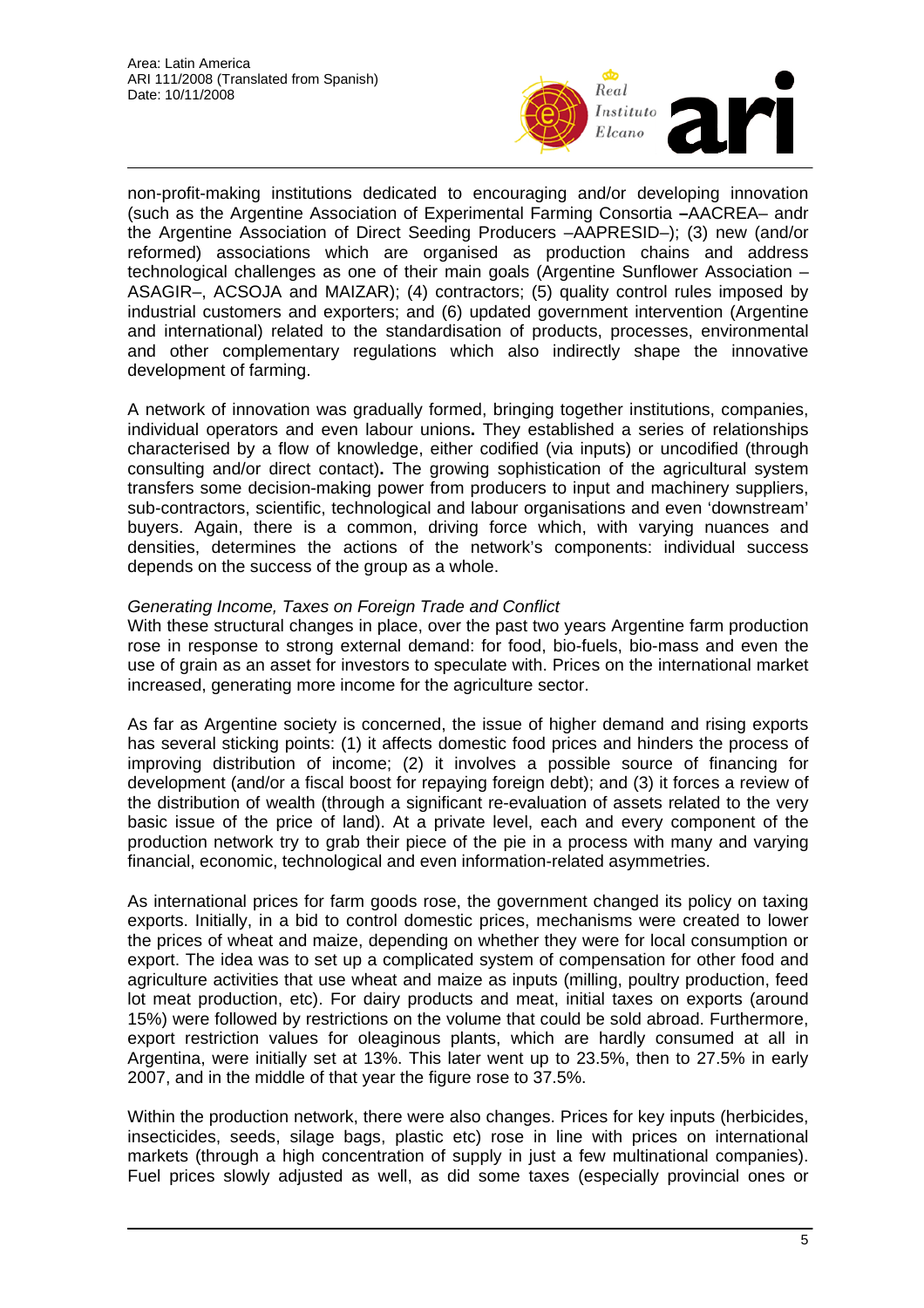

non-profit-making institutions dedicated to encouraging and/or developing innovation (such as the Argentine Association of Experimental Farming Consortia **–**AACREA– andr the Argentine Association of Direct Seeding Producers –AAPRESID–); (3) new (and/or reformed) associations which are organised as production chains and address technological challenges as one of their main goals (Argentine Sunflower Association – ASAGIR–, ACSOJA and MAIZAR); (4) contractors; (5) quality control rules imposed by industrial customers and exporters; and (6) updated government intervention (Argentine and international) related to the standardisation of products, processes, environmental and other complementary regulations which also indirectly shape the innovative development of farming.

A network of innovation was gradually formed, bringing together institutions, companies, individual operators and even labour unions**.** They established a series of relationships characterised by a flow of knowledge, either codified (via inputs) or uncodified (through consulting and/or direct contact)**.** The growing sophistication of the agricultural system transfers some decision-making power from producers to input and machinery suppliers, sub-contractors, scientific, technological and labour organisations and even 'downstream' buyers. Again, there is a common, driving force which, with varying nuances and densities, determines the actions of the network's components: individual success depends on the success of the group as a whole.

### *Generating Income, Taxes on Foreign Trade and Conflict*

With these structural changes in place, over the past two years Argentine farm production rose in response to strong external demand: for food, bio-fuels, bio-mass and even the use of grain as an asset for investors to speculate with. Prices on the international market increased, generating more income for the agriculture sector.

As far as Argentine society is concerned, the issue of higher demand and rising exports has several sticking points: (1) it affects domestic food prices and hinders the process of improving distribution of income; (2) it involves a possible source of financing for development (and/or a fiscal boost for repaying foreign debt); and (3) it forces a review of the distribution of wealth (through a significant re-evaluation of assets related to the very basic issue of the price of land). At a private level, each and every component of the production network try to grab their piece of the pie in a process with many and varying financial, economic, technological and even information-related asymmetries.

As international prices for farm goods rose, the government changed its policy on taxing exports. Initially, in a bid to control domestic prices, mechanisms were created to lower the prices of wheat and maize, depending on whether they were for local consumption or export. The idea was to set up a complicated system of compensation for other food and agriculture activities that use wheat and maize as inputs (milling, poultry production, feed lot meat production, etc). For dairy products and meat, initial taxes on exports (around 15%) were followed by restrictions on the volume that could be sold abroad. Furthermore, export restriction values for oleaginous plants, which are hardly consumed at all in Argentina, were initially set at 13%. This later went up to 23.5%, then to 27.5% in early 2007, and in the middle of that year the figure rose to 37.5%.

Within the production network, there were also changes. Prices for key inputs (herbicides, insecticides, seeds, silage bags, plastic etc) rose in line with prices on international markets (through a high concentration of supply in just a few multinational companies). Fuel prices slowly adjusted as well, as did some taxes (especially provincial ones or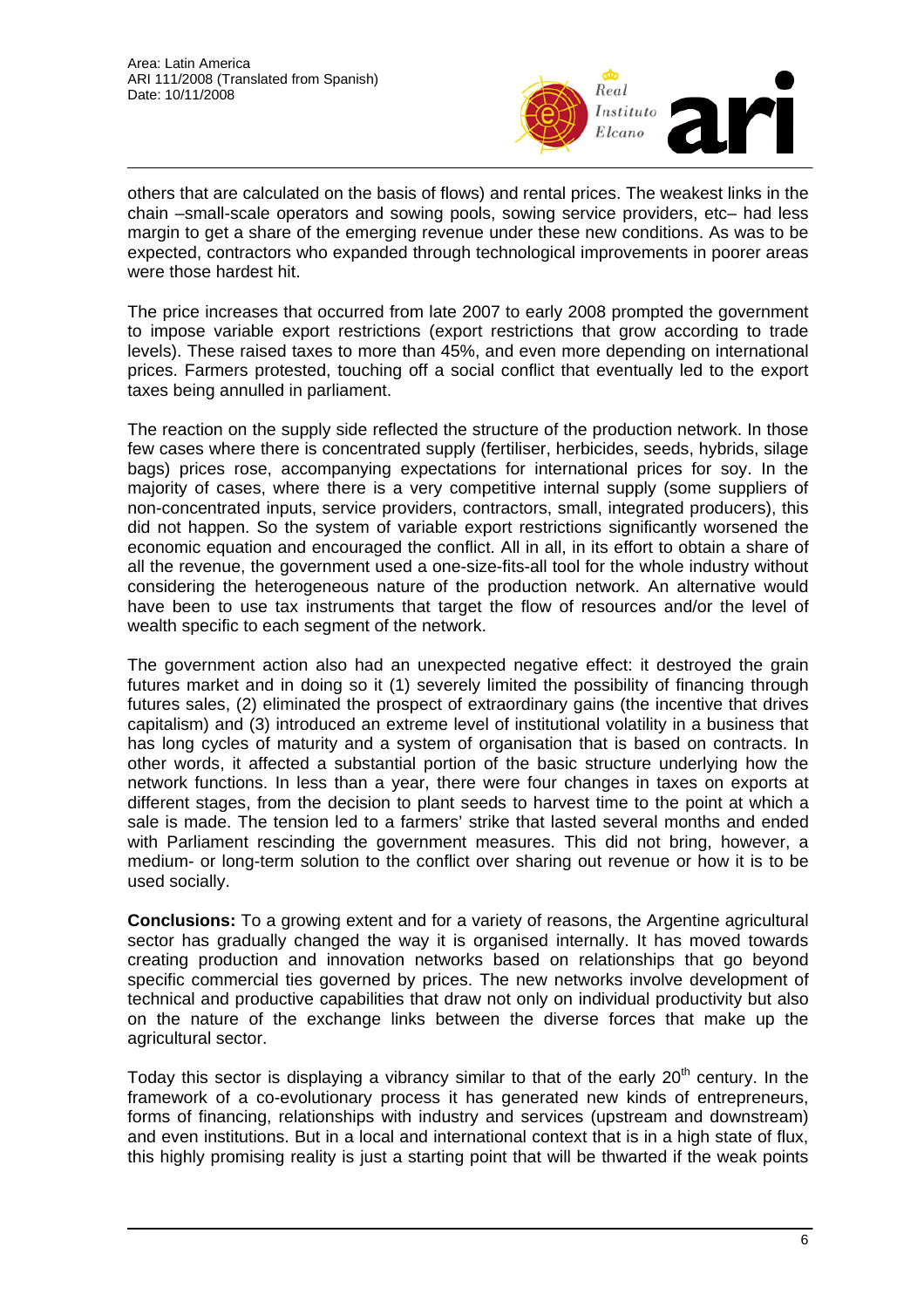

others that are calculated on the basis of flows) and rental prices. The weakest links in the chain –small-scale operators and sowing pools, sowing service providers, etc– had less margin to get a share of the emerging revenue under these new conditions. As was to be expected, contractors who expanded through technological improvements in poorer areas were those hardest hit.

The price increases that occurred from late 2007 to early 2008 prompted the government to impose variable export restrictions (export restrictions that grow according to trade levels). These raised taxes to more than 45%, and even more depending on international prices. Farmers protested, touching off a social conflict that eventually led to the export taxes being annulled in parliament.

The reaction on the supply side reflected the structure of the production network. In those few cases where there is concentrated supply (fertiliser, herbicides, seeds, hybrids, silage bags) prices rose, accompanying expectations for international prices for soy. In the majority of cases, where there is a very competitive internal supply (some suppliers of non-concentrated inputs, service providers, contractors, small, integrated producers), this did not happen. So the system of variable export restrictions significantly worsened the economic equation and encouraged the conflict. All in all, in its effort to obtain a share of all the revenue, the government used a one-size-fits-all tool for the whole industry without considering the heterogeneous nature of the production network. An alternative would have been to use tax instruments that target the flow of resources and/or the level of wealth specific to each segment of the network.

The government action also had an unexpected negative effect: it destroyed the grain futures market and in doing so it (1) severely limited the possibility of financing through futures sales, (2) eliminated the prospect of extraordinary gains (the incentive that drives capitalism) and (3) introduced an extreme level of institutional volatility in a business that has long cycles of maturity and a system of organisation that is based on contracts. In other words, it affected a substantial portion of the basic structure underlying how the network functions. In less than a year, there were four changes in taxes on exports at different stages, from the decision to plant seeds to harvest time to the point at which a sale is made. The tension led to a farmers' strike that lasted several months and ended with Parliament rescinding the government measures. This did not bring, however, a medium- or long-term solution to the conflict over sharing out revenue or how it is to be used socially.

**Conclusions:** To a growing extent and for a variety of reasons, the Argentine agricultural sector has gradually changed the way it is organised internally. It has moved towards creating production and innovation networks based on relationships that go beyond specific commercial ties governed by prices. The new networks involve development of technical and productive capabilities that draw not only on individual productivity but also on the nature of the exchange links between the diverse forces that make up the agricultural sector.

Today this sector is displaying a vibrancy similar to that of the early  $20<sup>th</sup>$  century. In the framework of a co-evolutionary process it has generated new kinds of entrepreneurs, forms of financing, relationships with industry and services (upstream and downstream) and even institutions. But in a local and international context that is in a high state of flux, this highly promising reality is just a starting point that will be thwarted if the weak points